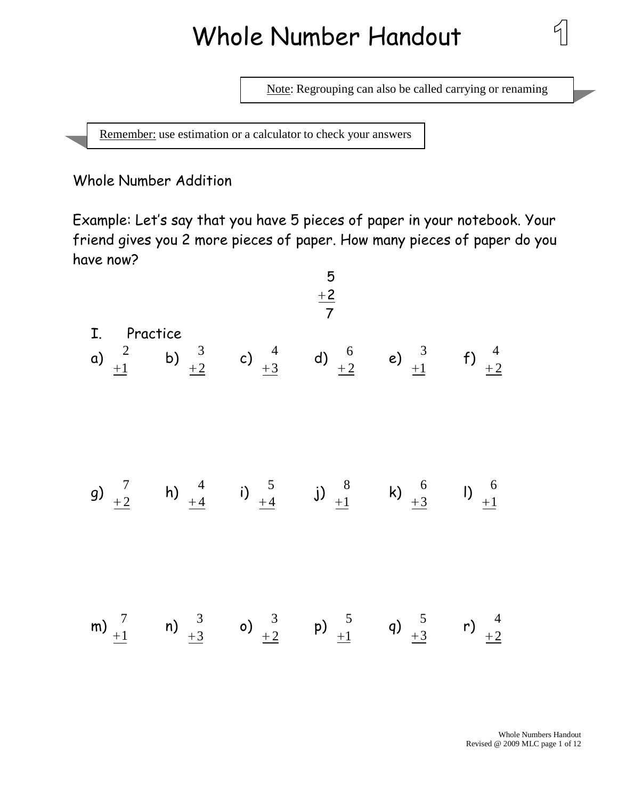# Whole Number Handout

Note: Regrouping can also be called carrying or renaming

Remember: use estimation or a calculator to check your answers

Whole Number Addition

Example: Let's say that you have 5 pieces of paper in your notebook. Your friend gives you 2 more pieces of paper. How many pieces of paper do you have now?

5

| I. Practice          |                      |                      |                      |                      |                      |
|----------------------|----------------------|----------------------|----------------------|----------------------|----------------------|
| a) $\frac{2}{\pm 1}$ | b) $\frac{3}{\pm 2}$ | c) $\frac{4}{\pm 3}$ | d) $\frac{6}{\pm 2}$ | e) $\frac{3}{\pm 1}$ | f) $\frac{4}{\pm 2}$ |
| g) $\frac{7}{\pm 2}$ | h) $\frac{4}{\pm 4}$ | i) $\frac{5}{\pm 4}$ | j) $\frac{8}{\pm 1}$ | k) $\frac{6}{\pm 3}$ | l) $\frac{6}{\pm 1}$ |
| m) $\frac{7}{\pm 1}$ | n) $\frac{3}{\pm 3}$ | o) $\frac{3}{\pm 2}$ | p) $\frac{5}{\pm 1}$ | q) $\frac{5}{\pm 3}$ | r) $\frac{4}{\pm 2}$ |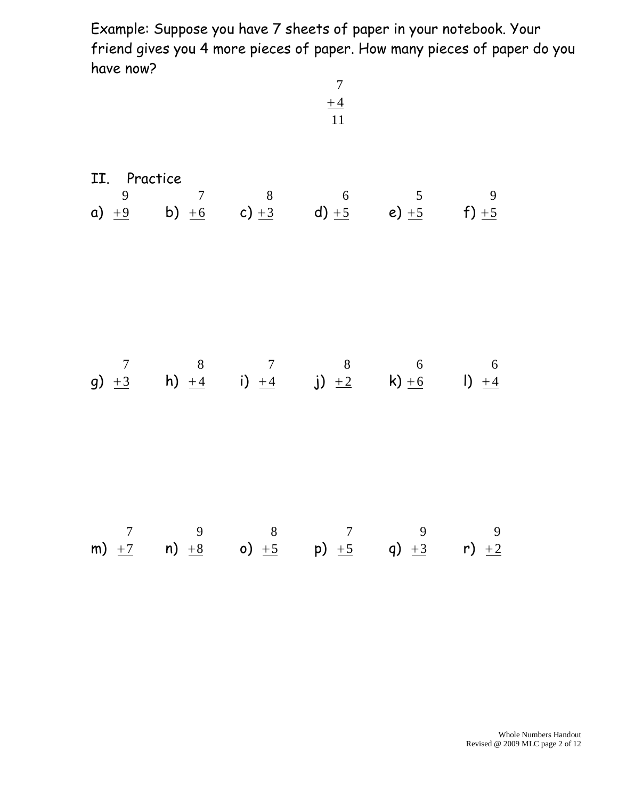Example: Suppose you have 7 sheets of paper in your notebook. Your friend gives you 4 more pieces of paper. How many pieces of paper do you have now?

|  | $\overline{7}$<br>$\pm 4$<br>$\overline{11}$ |                                                                                                                                                  |  |  |  |  |
|--|----------------------------------------------|--------------------------------------------------------------------------------------------------------------------------------------------------|--|--|--|--|
|  |                                              | II. Practice<br>9 7 8 6 5 9<br>a) $\frac{19}{10}$ b) $\frac{16}{10}$ c) $\frac{13}{13}$ d) $\frac{15}{15}$ e) $\frac{15}{15}$ f) $\frac{15}{15}$ |  |  |  |  |
|  |                                              |                                                                                                                                                  |  |  |  |  |
|  |                                              | $\begin{array}{ccccccccc}\n & & 7 & & 9 & & 8 & & 7 & & 9 & & 9 \\ \text{m)} & +7 & & \text{n}\end{array}$ +8 0 +5 p +5 q +3 r) +2               |  |  |  |  |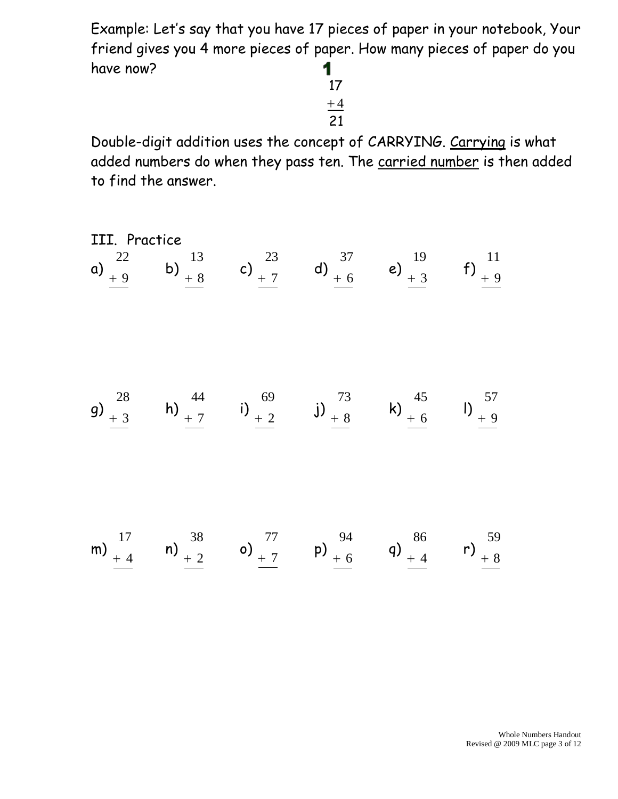Example: Let's say that you have 17 pieces of paper in your notebook, Your friend gives you 4 more pieces of paper. How many pieces of paper do you have now? 1

21 17 4

Double-digit addition uses the concept of CARRYING. Carrying is what added numbers do when they pass ten. The carried number is then added to find the answer.

III. Practice a) 9 22 b) 8 13 c) 7 23 d) 6 37 e) 3 19 f) 9 11 g) 3 28 h) 7 44 i) 2 69 j) 8 73 k) 6 45 l) 9 57 m) 4 17 n) 2 38 o) 7 77 p) 6 94 q) 4 86 r) 8 59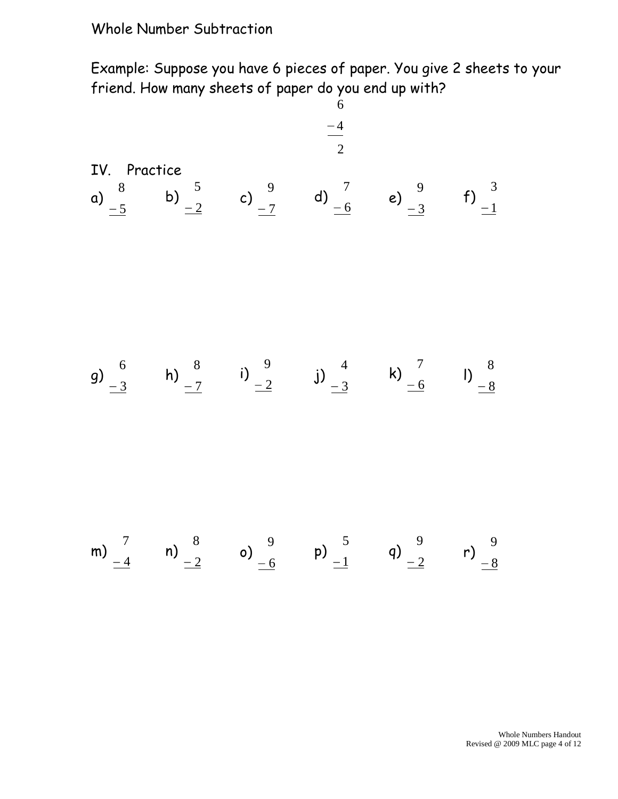#### Whole Number Subtraction

Example: Suppose you have 6 pieces of paper. You give 2 sheets to your friend. How many sheets of paper do you end up with?

| 1V. Practice                                        |                                                     |                                                     |                                                     |                                                     |
|-----------------------------------------------------|-----------------------------------------------------|-----------------------------------------------------|-----------------------------------------------------|-----------------------------------------------------|
| a) $\begin{array}{ccc} 8 & b \\ -5 & b \end{array}$ | b) $\begin{array}{ccc} 5 & c \\ -2 & c \end{array}$ | c) $\begin{array}{ccc} 9 & d \\ -7 & d \end{array}$ | d) $\begin{array}{ccc} 7 & e \\ -6 & e \end{array}$ | e) $\begin{array}{ccc} 9 & f \\ -3 & f \end{array}$ |
| g) $\begin{array}{ccc} 6 & h \\ -3 & h \end{array}$ | h) $\begin{array}{ccc} 8 & i \\ -7 & i \end{array}$ | g) $\begin{array}{ccc} 4 & k \\ -2 & j \end{array}$ | k) $\begin{array}{ccc} 7 & l \\ -6 & l \end{array}$ | h) $\begin{array}{ccc} 8 & l \\ -8 & l \end{array}$ |
| m) $\begin{array}{ccc} 7 & n \\ -4 & l \end{array}$ | n) $\begin{array}{ccc} 8 & o \\ -2 & o \end{array}$ | p) $\begin{array}{ccc} 4 & l \\ -1 & l \end{array}$ | q) $\begin{array}{ccc} 9 & l \\ -2 & l \end{array}$ | p) $\begin{array}{ccc} 9 & l \\ -8 & l \end{array}$ |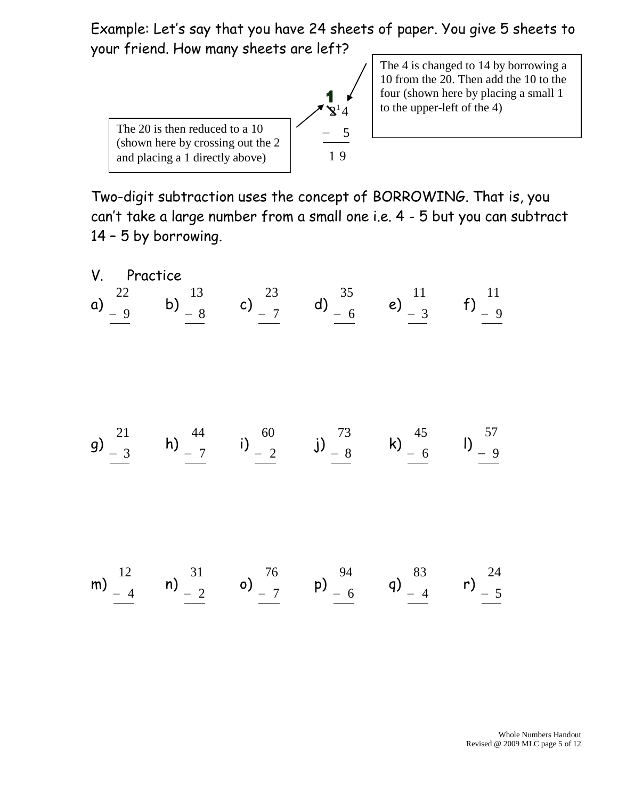Example: Let's say that you have 24 sheets of paper. You give 5 sheets to your friend. How many sheets are left?



The 4 is changed to 14 by borrowing a 10 from the 20. Then add the 10 to the four (shown here by placing a small 1 to the upper-left of the 4)

Two-digit subtraction uses the concept of BORROWING. That is, you can't take a large number from a small one i.e. 4 - 5 but you can subtract 14 – 5 by borrowing.

V. Practice a) 9 22 b) 8 13 c) 7 23 d) 6 35 e) 3 11 f) 9 11 g) 3 21 h) 7 44 i) 2 60 j) 8 73 k) 6 45 l) 9 57 m) 4 12 n) 2 31 o) 7 76 p) 6 94 q) 4 83 r) 5 24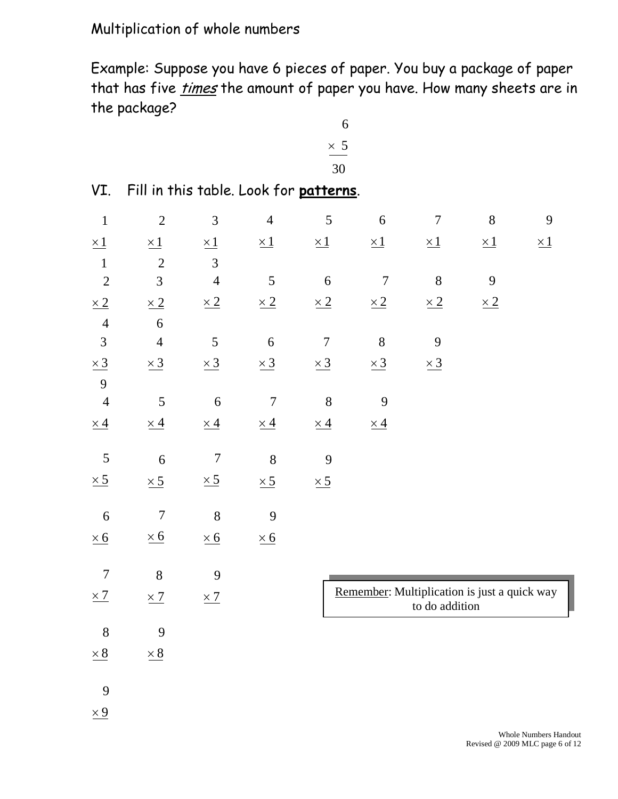# Multiplication of whole numbers

Example: Suppose you have 6 pieces of paper. You buy a package of paper that has five *times* the amount of paper you have. How many sheets are in the package?

$$
\begin{array}{c}\n6 \\
\times 5 \\
\hline\n30\n\end{array}
$$

 $\overline{a}$ 

|  |  |  |  |  |  | VI. Fill in this table. Look for patterns. |
|--|--|--|--|--|--|--------------------------------------------|
|--|--|--|--|--|--|--------------------------------------------|

| $\mathbf{1}$     | $\overline{2}$   | $\mathfrak{Z}$ | $\overline{4}$   | $\mathfrak{S}$ | $\boldsymbol{6}$ | $\overline{7}$ | $8\,$                                        | $\boldsymbol{9}$ |
|------------------|------------------|----------------|------------------|----------------|------------------|----------------|----------------------------------------------|------------------|
| $\times 1$       | $\times 1$       | $\times 1$     | $\times 1$       | $\times 1$     | $\times 1$       | $\times 1$     | $\times 1$                                   | $\times 1$       |
| $\mathbf 1$      | $\sqrt{2}$       | $\mathfrak{Z}$ |                  |                |                  |                |                                              |                  |
| $\overline{2}$   | $\overline{3}$   | $\overline{4}$ | 5                | 6              | $\boldsymbol{7}$ | $8\,$          | 9                                            |                  |
| $\times 2$       | $\times 2$       | $\times 2$     | $\times 2$       | $\times\,2$    | $\times 2$       | $\times 2$     | $\times 2$                                   |                  |
| $\overline{4}$   | 6                |                |                  |                |                  |                |                                              |                  |
| $\overline{3}$   | $\overline{4}$   | 5              | $\overline{6}$   | $\overline{7}$ | 8                | 9              |                                              |                  |
| $\times 3$       | $\times 3$       | $\times 3$     | $\times 3$       | $\times 3$     | $\times 3$       | $\times 3$     |                                              |                  |
| 9                |                  |                |                  |                |                  |                |                                              |                  |
| $\overline{4}$   | 5                | $\overline{6}$ | $\boldsymbol{7}$ | 8              | 9                |                |                                              |                  |
| $\times\,4$      | $\times 4$       | $\times 4$     | $\times 4$       | $\times 4$     | $\times\,4$      |                |                                              |                  |
| 5                | 6                | $\overline{7}$ | 8                | 9              |                  |                |                                              |                  |
| $\times 5$       | $\times 5$       | $\times 5$     | $\times 5$       | $\times 5$     |                  |                |                                              |                  |
| 6                | $\boldsymbol{7}$ | 8              | 9                |                |                  |                |                                              |                  |
| $\times 6$       | $\times 6$       | $\times 6$     | $\times 6$       |                |                  |                |                                              |                  |
| $\boldsymbol{7}$ | $8\,$            | 9              |                  |                |                  |                |                                              |                  |
| $\times$ 7       | $\times 7$       | $\times$ 7     |                  |                |                  | to do addition | Remember: Multiplication is just a quick way |                  |
| 8                | 9                |                |                  |                |                  |                |                                              |                  |
| $\times\,8$      | $\times 8$       |                |                  |                |                  |                |                                              |                  |
| 9                |                  |                |                  |                |                  |                |                                              |                  |
| $\times 9$       |                  |                |                  |                |                  |                |                                              |                  |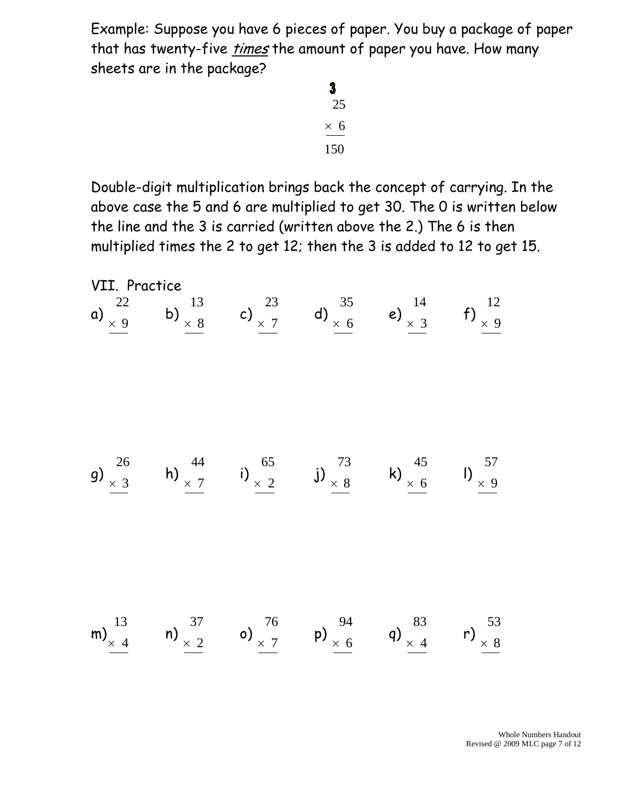Example: Suppose you have 6 pieces of paper. You buy a package of paper that has twenty-five *times* the amount of paper you have. How many sheets are in the package?

> $\overline{\mathbf{3}}$ 25  $\times$  6 150

Double-digit multiplication brings back the concept of carrying. In the above case the 5 and 6 are multiplied to get 30. The 0 is written below the line and the 3 is carried (written above the 2.) The 6 is then multiplied times the 2 to get 12; then the 3 is added to 12 to get 15.

VII. Practice a) 9 22 b) 8 13 c) 7 23 d) 6 35 e) 3 14 f) 9 12 g) 3 26 h) 7 44 i) 2 65 j) 8 73 k) 6 45 l) 9 57 m) 4 13 n) 2 37 o) 7 76 p) 6 94 q) 4 83 r) 8 53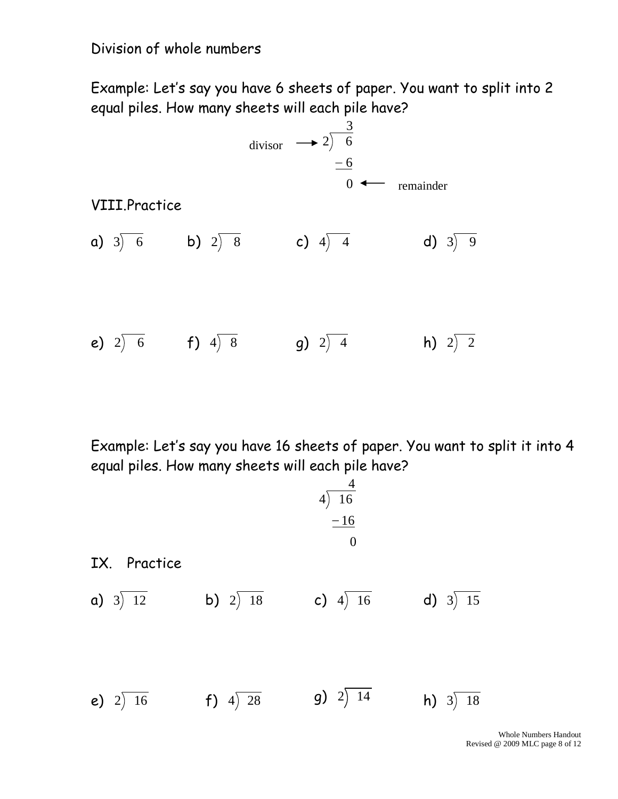## Division of whole numbers

Example: Let's say you have 6 sheets of paper. You want to split into 2 equal piles. How many sheets will each pile have?



Example: Let's say you have 16 sheets of paper. You want to split it into 4 equal piles. How many sheets will each pile have?

1X. Practice  
\na) 
$$
3\overline{\smash)12}
$$
 b)  $2\overline{\smash)18}$  c)  $4\overline{\smash)16}$  d)  $3\overline{\smash)15}$   
\ne)  $2\overline{\smash)16}$  f)  $4\overline{\smash)28}$  g)  $2\overline{\smash)14}$  h)  $3\overline{\smash)18}$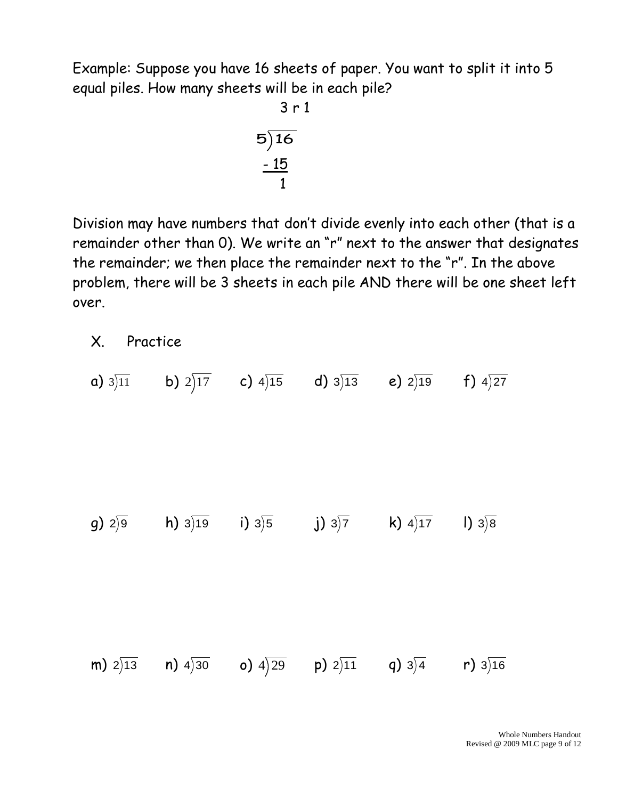Example: Suppose you have 16 sheets of paper. You want to split it into 5 equal piles. How many sheets will be in each pile?

$$
3r1
$$
  
5)16  

$$
-15
$$
  
1

Division may have numbers that don't divide evenly into each other (that is a remainder other than 0). We write an "r" next to the answer that designates the remainder; we then place the remainder next to the "r". In the above problem, there will be 3 sheets in each pile AND there will be one sheet left over.

X. Practice

**a)** 3)11 **b)** 2)17 **c)** 4)15 **d)** 3)13 **e)** 2)19 f) 4)27  $g)$  2)9 h) 3 $\rangle$ 19  $i)$  3)5 j) 3) $\overline{7}$ **k)**  $4\overline{)17}$  $\vert$ ) 3)8 **m)** 2)13 **n)** 4)30 **o)** 4)29 **p)** 2)11 **q)** 3)4 r) 3)16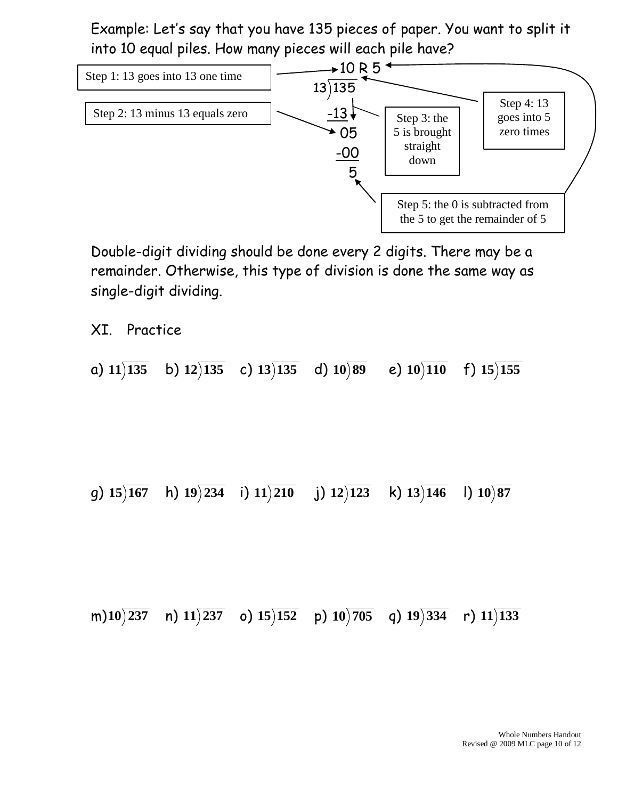Example: Let's say that you have 135 pieces of paper. You want to split it into 10 equal piles. How many pieces will each pile have?



Double-digit dividing should be done every 2 digits. There may be a remainder. Otherwise, this type of division is done the same way as single-digit dividing.

XI. Practice

a) **11 135** b) **12 135** c) **13 135** d) **10 89** e) **10 110** f) **15 155**

g) **15 167** h) **19 234** i) **11 210** j) **12 123** k) **13 146** l) **10 87**

m) **10 237** n) **11 237** o) **15 152** p) **10 705** q) **19 334** r) **11 133**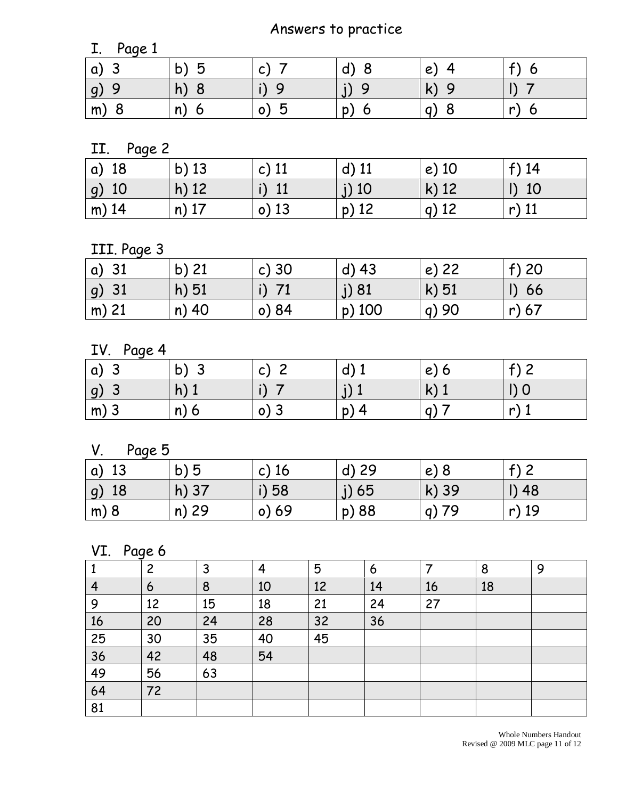# Answers to practice

| Page 1<br>- -  |                   |                        |                         |                                    |        |
|----------------|-------------------|------------------------|-------------------------|------------------------------------|--------|
| a,             | n<br>$\mathsf{b}$ | $\sqrt{ }$<br>◡        |                         | $\mathbf{e}$                       |        |
| <u>g</u>       | h)                |                        |                         |                                    |        |
| m <sub>j</sub> | n)<br>n           | h<br>$\mathsf{o}$<br>w | 'n<br>O<br>I I <i>I</i> | 8<br>a<br>$\overline{\phantom{a}}$ | n<br>O |

II. Page 2

| a) 18           | $b)$ 13 | c) $11$ | $d)$ 11 | $e)$ 10 | $f)$ 14 |
|-----------------|---------|---------|---------|---------|---------|
| 10<br><u>g)</u> | $h)$ 12 | 11      | $j)$ 10 | $k)$ 12 | 10      |
| $m)$ 14         | $n)$ 17 | $o)$ 13 | $p)$ 12 | $q)$ 12 | r) $11$ |

III. Page 3

| $ a\rangle$ 31           | b) $21$ | c)30  | $d)$ 43  | $e)$ 22 | $f$ ) 20 |
|--------------------------|---------|-------|----------|---------|----------|
| 31<br>$\left  g \right)$ | $h)$ 51 |       | J) 81    | $k)$ 51 | 66       |
| $\mathsf{m}$ ) 21        | n) 40   | o) 84 | $p)$ 100 | q)90    | r) 67    |

IV. Page 4

| <b>α)</b><br>◡ | $\mathsf{b}$ )<br>w | ⌒<br>$\mathsf{C}$ | a, | e<br>O       | $\sim$ $\sim$<br>$\overline{\phantom{a}}$ |
|----------------|---------------------|-------------------|----|--------------|-------------------------------------------|
| <u>g)</u><br>◡ | h)                  | $\cdot$           |    | $\mathbf{k}$ | $\cup$                                    |
| $\mid$ m) 3    | n)<br>O             | O)<br>- -         | p) |              | n                                         |

V. Page 5

| -13<br>$\alpha$  | b)5     | c) $16$ | d) 29   | e) 8    | $f$ 2   |
|------------------|---------|---------|---------|---------|---------|
| 18<br> g)        | $h)$ 37 | i) 58   | $j)$ 65 | k) 39   | $I)$ 48 |
| $\mathsf{m}$ ) 8 | n) 29   | $o)$ 69 | p) 88   | $q)$ 79 | r) 19   |

### VI. Page 6

|    | 2  | 3  | $\overline{4}$ | 5  | 6  |    | 8  | 9 |
|----|----|----|----------------|----|----|----|----|---|
| 4  | 6  | 8  | 10             | 12 | 14 | 16 | 18 |   |
| 9  | 12 | 15 | 18             | 21 | 24 | 27 |    |   |
| 16 | 20 | 24 | 28             | 32 | 36 |    |    |   |
| 25 | 30 | 35 | 40             | 45 |    |    |    |   |
| 36 | 42 | 48 | 54             |    |    |    |    |   |
| 49 | 56 | 63 |                |    |    |    |    |   |
| 64 | 72 |    |                |    |    |    |    |   |
| 81 |    |    |                |    |    |    |    |   |